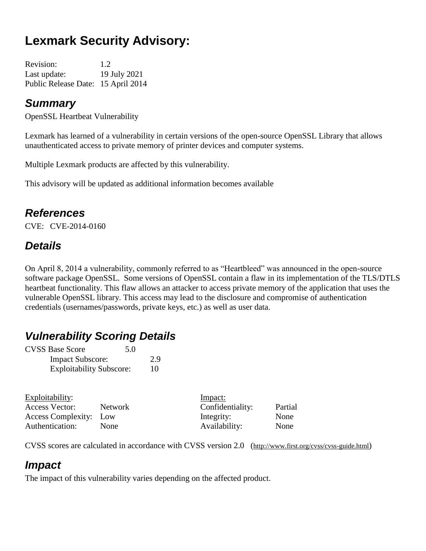# **Lexmark Security Advisory:**

| <b>Revision:</b>                   | 1.2          |
|------------------------------------|--------------|
| Last update:                       | 19 July 2021 |
| Public Release Date: 15 April 2014 |              |

## *Summary*

OpenSSL Heartbeat Vulnerability

Lexmark has learned of a vulnerability in certain versions of the open-source OpenSSL Library that allows unauthenticated access to private memory of printer devices and computer systems.

Multiple Lexmark products are affected by this vulnerability.

This advisory will be updated as additional information becomes available

## *References*

CVE: CVE-2014-0160

# *Details*

On April 8, 2014 a vulnerability, commonly referred to as "Heartbleed" was announced in the open-source software package OpenSSL. Some versions of OpenSSL contain a flaw in its implementation of the TLS/DTLS heartbeat functionality. This flaw allows an attacker to access private memory of the application that uses the vulnerable OpenSSL library. This access may lead to the disclosure and compromise of authentication credentials (usernames/passwords, private keys, etc.) as well as user data.

# *Vulnerability Scoring Details*

| <b>CVSS Base Score</b>          | 5.0 |
|---------------------------------|-----|
| <b>Impact Subscore:</b>         | 2.9 |
| <b>Exploitability Subscore:</b> | 10  |

| Exploitability:        |         | Impact:          |         |
|------------------------|---------|------------------|---------|
| Access Vector:         | Network | Confidentiality: | Partial |
| Access Complexity: Low |         | Integrity:       | None    |
| Authentication:        | None    | Availability:    | None    |

CVSS scores are calculated in accordance with CVSS version 2.0 (http://www.first.org/cvss/cvss-guide.html)

# *Impact*

The impact of this vulnerability varies depending on the affected product.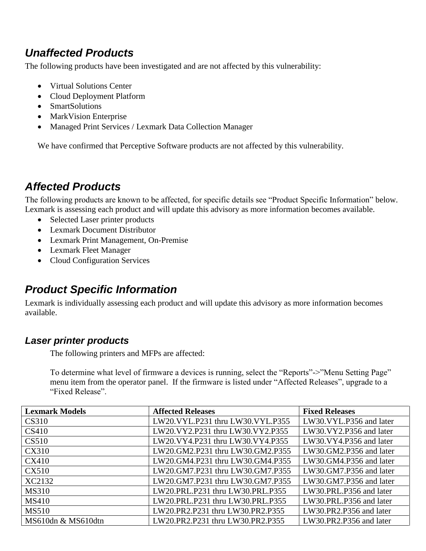# *Unaffected Products*

The following products have been investigated and are not affected by this vulnerability:

- Virtual Solutions Center
- Cloud Deployment Platform
- SmartSolutions
- MarkVision Enterprise
- Managed Print Services / Lexmark Data Collection Manager

We have confirmed that Perceptive Software products are not affected by this vulnerability.

# *Affected Products*

The following products are known to be affected, for specific details see "Product Specific Information" below. Lexmark is assessing each product and will update this advisory as more information becomes available.

- Selected Laser printer products
- Lexmark Document Distributor
- Lexmark Print Management, On-Premise
- Lexmark Fleet Manager
- Cloud Configuration Services

# *Product Specific Information*

Lexmark is individually assessing each product and will update this advisory as more information becomes available.

### *Laser printer products*

The following printers and MFPs are affected:

To determine what level of firmware a devices is running, select the "Reports"->"Menu Setting Page" menu item from the operator panel. If the firmware is listed under "Affected Releases", upgrade to a "Fixed Release".

| <b>Lexmark Models</b> | <b>Affected Releases</b>         | <b>Fixed Releases</b>   |
|-----------------------|----------------------------------|-------------------------|
| <b>CS310</b>          | LW20.VYL.P231 thru LW30.VYL.P355 | LW30.VYL.P356 and later |
| CS410                 | LW20.VY2.P231 thru LW30.VY2.P355 | LW30.VY2.P356 and later |
| CS510                 | LW20.VY4.P231 thru LW30.VY4.P355 | LW30.VY4.P356 and later |
| <b>CX310</b>          | LW20.GM2.P231 thru LW30.GM2.P355 | LW30.GM2.P356 and later |
| <b>CX410</b>          | LW20.GM4.P231 thru LW30.GM4.P355 | LW30.GM4.P356 and later |
| <b>CX510</b>          | LW20.GM7.P231 thru LW30.GM7.P355 | LW30.GM7.P356 and later |
| XC2132                | LW20.GM7.P231 thru LW30.GM7.P355 | LW30.GM7.P356 and later |
| <b>MS310</b>          | LW20.PRL.P231 thru LW30.PRL.P355 | LW30.PRL.P356 and later |
| <b>MS410</b>          | LW20.PRL.P231 thru LW30.PRL.P355 | LW30.PRL.P356 and later |
| <b>MS510</b>          | LW20.PR2.P231 thru LW30.PR2.P355 | LW30.PR2.P356 and later |
| MS610dn & MS610dtn    | LW20.PR2.P231 thru LW30.PR2.P355 | LW30.PR2.P356 and later |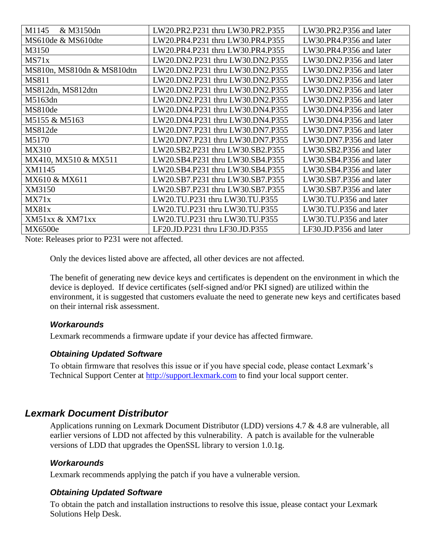| M1145<br>& M3150dn         | LW20.PR2.P231 thru LW30.PR2.P355 | LW30.PR2.P356 and later |
|----------------------------|----------------------------------|-------------------------|
| MS610de & MS610dte         | LW20.PR4.P231 thru LW30.PR4.P355 | LW30.PR4.P356 and later |
| M3150                      | LW20.PR4.P231 thru LW30.PR4.P355 | LW30.PR4.P356 and later |
| MS71x                      | LW20.DN2.P231 thru LW30.DN2.P355 | LW30.DN2.P356 and later |
| MS810n, MS810dn & MS810dtn | LW20.DN2.P231 thru LW30.DN2.P355 | LW30.DN2.P356 and later |
| <b>MS811</b>               | LW20.DN2.P231 thru LW30.DN2.P355 | LW30.DN2.P356 and later |
| MS812dn, MS812dtn          | LW20.DN2.P231 thru LW30.DN2.P355 | LW30.DN2.P356 and later |
| M5163dn                    | LW20.DN2.P231 thru LW30.DN2.P355 | LW30.DN2.P356 and later |
| MS810de                    | LW20.DN4.P231 thru LW30.DN4.P355 | LW30.DN4.P356 and later |
| M5155 & M5163              | LW20.DN4.P231 thru LW30.DN4.P355 | LW30.DN4.P356 and later |
| MS812de                    | LW20.DN7.P231 thru LW30.DN7.P355 | LW30.DN7.P356 and later |
| M5170                      | LW20.DN7.P231 thru LW30.DN7.P355 | LW30.DN7.P356 and later |
| <b>MX310</b>               | LW20.SB2.P231 thru LW30.SB2.P355 | LW30.SB2.P356 and later |
| MX410, MX510 & MX511       | LW20.SB4.P231 thru LW30.SB4.P355 | LW30.SB4.P356 and later |
| XM1145                     | LW20.SB4.P231 thru LW30.SB4.P355 | LW30.SB4.P356 and later |
| MX610 & MX611              | LW20.SB7.P231 thru LW30.SB7.P355 | LW30.SB7.P356 and later |
| XM3150                     | LW20.SB7.P231 thru LW30.SB7.P355 | LW30.SB7.P356 and later |
| MX71x                      | LW20.TU.P231 thru LW30.TU.P355   | LW30.TU.P356 and later  |
| MX81x                      | LW20.TU.P231 thru LW30.TU.P355   | LW30.TU.P356 and later  |
| <b>XM51xx &amp; XM71xx</b> | LW20.TU.P231 thru LW30.TU.P355   | LW30.TU.P356 and later  |
| <b>MX6500e</b>             | LF20.JD.P231 thru LF30.JD.P355   | LF30.JD.P356 and later  |

Note: Releases prior to P231 were not affected.

Only the devices listed above are affected, all other devices are not affected.

The benefit of generating new device keys and certificates is dependent on the environment in which the device is deployed. If device certificates (self-signed and/or PKI signed) are utilized within the environment, it is suggested that customers evaluate the need to generate new keys and certificates based on their internal risk assessment.

#### *Workarounds*

Lexmark recommends a firmware update if your device has affected firmware.

#### *Obtaining Updated Software*

To obtain firmware that resolves this issue or if you have special code, please contact Lexmark's Technical Support Center at [http://support.lexmark.com](http://support.lexmark.com/) to find your local support center.

### *Lexmark Document Distributor*

Applications running on Lexmark Document Distributor (LDD) versions 4.7 & 4.8 are vulnerable, all earlier versions of LDD not affected by this vulnerability. A patch is available for the vulnerable versions of LDD that upgrades the OpenSSL library to version 1.0.1g.

#### *Workarounds*

Lexmark recommends applying the patch if you have a vulnerable version.

#### *Obtaining Updated Software*

To obtain the patch and installation instructions to resolve this issue, please contact your Lexmark Solutions Help Desk.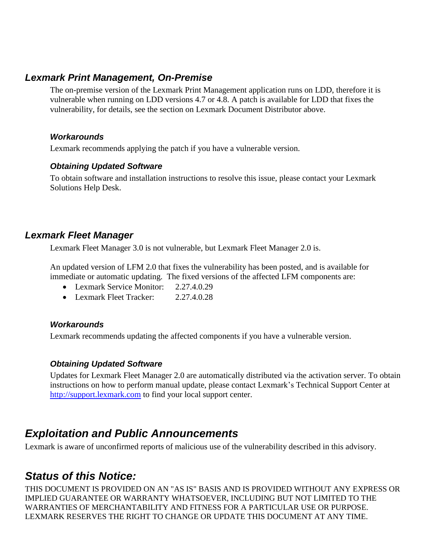### *Lexmark Print Management, On-Premise*

The on-premise version of the Lexmark Print Management application runs on LDD, therefore it is vulnerable when running on LDD versions 4.7 or 4.8. A patch is available for LDD that fixes the vulnerability, for details, see the section on Lexmark Document Distributor above.

#### *Workarounds*

Lexmark recommends applying the patch if you have a vulnerable version.

#### *Obtaining Updated Software*

To obtain software and installation instructions to resolve this issue, please contact your Lexmark Solutions Help Desk.

### *Lexmark Fleet Manager*

Lexmark Fleet Manager 3.0 is not vulnerable, but Lexmark Fleet Manager 2.0 is.

An updated version of LFM 2.0 that fixes the vulnerability has been posted, and is available for immediate or automatic updating. The fixed versions of the affected LFM components are:

- Lexmark Service Monitor: 2.27.4.0.29
- Lexmark Fleet Tracker: 2.27.4.0.28

#### *Workarounds*

Lexmark recommends updating the affected components if you have a vulnerable version.

### *Obtaining Updated Software*

Updates for Lexmark Fleet Manager 2.0 are automatically distributed via the activation server. To obtain instructions on how to perform manual update, please contact Lexmark's Technical Support Center at [http://support.lexmark.com](http://support.lexmark.com/) to find your local support center.

## *Exploitation and Public Announcements*

Lexmark is aware of unconfirmed reports of malicious use of the vulnerability described in this advisory.

### *Status of this Notice:*

THIS DOCUMENT IS PROVIDED ON AN "AS IS" BASIS AND IS PROVIDED WITHOUT ANY EXPRESS OR IMPLIED GUARANTEE OR WARRANTY WHATSOEVER, INCLUDING BUT NOT LIMITED TO THE WARRANTIES OF MERCHANTABILITY AND FITNESS FOR A PARTICULAR USE OR PURPOSE. LEXMARK RESERVES THE RIGHT TO CHANGE OR UPDATE THIS DOCUMENT AT ANY TIME.